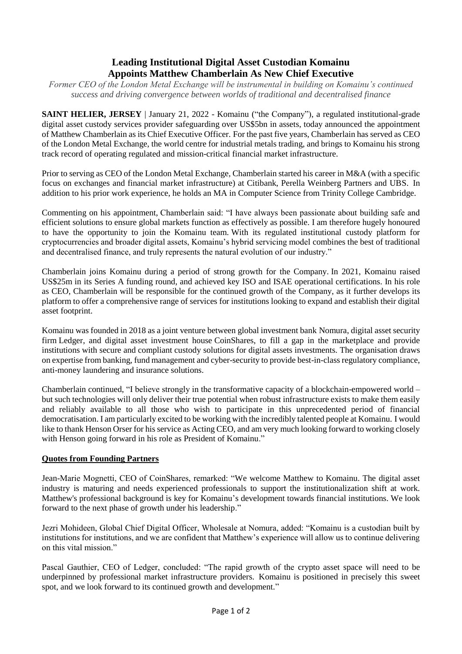## **Leading Institutional Digital Asset Custodian Komainu Appoints Matthew Chamberlain As New Chief Executive**

*Former CEO of the London Metal Exchange will be instrumental in building on Komainu's continued success and driving convergence between worlds of traditional and decentralised finance*

**SAINT HELIER, JERSEY** | January 21, 2022 - Komainu ("the Company"), a regulated institutional-grade digital asset custody services provider safeguarding over US\$5bn in assets, today announced the appointment of Matthew Chamberlain as its Chief Executive Officer. For the past five years, Chamberlain has served as CEO of the London Metal Exchange, the world centre for industrial metals trading, and brings to Komainu his strong track record of operating regulated and mission-critical financial market infrastructure.

Prior to serving as CEO of the London Metal Exchange, Chamberlain started his career in M&A (with a specific focus on exchanges and financial market infrastructure) at Citibank, Perella Weinberg Partners and UBS. In addition to his prior work experience, he holds an MA in Computer Science from Trinity College Cambridge.

Commenting on his appointment, Chamberlain said: "I have always been passionate about building safe and efficient solutions to ensure global markets function as effectively as possible. I am therefore hugely honoured to have the opportunity to join the Komainu team. With its regulated institutional custody platform for cryptocurrencies and broader digital assets, Komainu's hybrid servicing model combines the best of traditional and decentralised finance, and truly represents the natural evolution of our industry."

Chamberlain joins Komainu during a period of strong growth for the Company. In 2021, Komainu raised US\$25m in its Series A funding round, and achieved key ISO and ISAE operational certifications. In his role as CEO, Chamberlain will be responsible for the continued growth of the Company, as it further develops its platform to offer a comprehensive range of services for institutions looking to expand and establish their digital asset footprint.

Komainu was founded in 2018 as a joint venture between global investment bank [Nomura,](https://www.nomura.com/) digital asset security firm [Ledger,](https://www.ledger.com/) and digital asset investment house [CoinShares,](https://coinshares.com/) to fill a gap in the marketplace and provide institutions with secure and compliant custody solutions for digital assets investments. The organisation draws on expertise from banking, fund management and cyber-security to provide best-in-class regulatory compliance, anti-money laundering and insurance solutions.

Chamberlain continued, "I believe strongly in the transformative capacity of a blockchain-empowered world – but such technologies will only deliver their true potential when robust infrastructure exists to make them easily and reliably available to all those who wish to participate in this unprecedented period of financial democratisation. I am particularly excited to be working with the incredibly talented people at Komainu. I would like to thank Henson Orser for his service as Acting CEO, and am very much looking forward to working closely with Henson going forward in his role as President of Komainu."

## **Quotes from Founding Partners**

Jean-Marie Mognetti, CEO of CoinShares, remarked: "We welcome Matthew to Komainu. The digital asset industry is maturing and needs experienced professionals to support the institutionalization shift at work. Matthew's professional background is key for Komainu's development towards financial institutions. We look forward to the next phase of growth under his leadership."

Jezri Mohideen, Global Chief Digital Officer, Wholesale at Nomura, added: "Komainu is a custodian built by institutions for institutions, and we are confident that Matthew's experience will allow us to continue delivering on this vital mission."

Pascal Gauthier, CEO of Ledger, concluded: "The rapid growth of the crypto asset space will need to be underpinned by professional market infrastructure providers. Komainu is positioned in precisely this sweet spot, and we look forward to its continued growth and development."